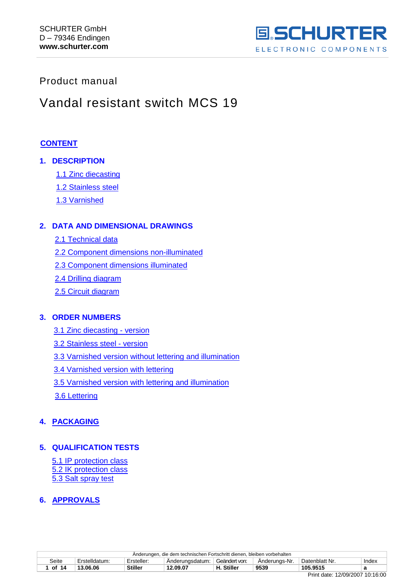

## <span id="page-0-0"></span>Product manual

## Vandal resistant switch MCS 19

## **[CONTENT](#page-0-0)**

## **1. DESCRIPTION**

- [1.1 Zinc diecasting](#page-1-0)
- [1.2 Stainless steel](#page-1-1)
- [1.3 Varnished](#page-1-2)

## **2. DATA AND DIMENSIONAL DRAWINGS**

- [2.1 Technical data](#page-2-0)
- [2.2 Component dimensions non-illuminated](#page-4-0)
- [2.3 Component dimensions illuminated](#page-5-0)
- [2.4 Drilling diagram](#page-6-0)
- [2.5 Circuit diagram](#page-6-1)

## **3. ORDER NUMBERS**

- [3.1 Zinc diecasting -](#page-7-0) version
- [3.2 Stainless steel -](#page-7-1) version
- [3.3 Varnished version without lettering and illumination](#page-8-0)
- [3.4 Varnished version with lettering](#page-8-1)
- [3.5 Varnished version with lettering and illumination](#page-9-0)
- [3.6 Lettering](#page-10-0)

## **4. [PACKAGING](#page-11-0)**

## **5. QUALIFICATION TESTS**

5.1 IP protection class [5.2 IK protection class](#page-12-0) [5.3 Salt spray test](#page-12-1)

## **6. [APPROVALS](#page-13-0)**

|       | Anderungen, die dem technischen Fortschritt dienen, bleiben vorbehalten |                |                 |               |               |                |       |  |  |
|-------|-------------------------------------------------------------------------|----------------|-----------------|---------------|---------------|----------------|-------|--|--|
| Seite | Erstelldatum:                                                           | Ersteller:     | Anderungsdatum: | Geändert von: | Anderungs-Nr. | Datenblatt Nr. | Index |  |  |
| of 14 | 13.06.06                                                                | <b>Stiller</b> | 12.09.07        | H. Stiller    | 9539          | 105.9515       |       |  |  |
|       |                                                                         |                |                 |               |               |                |       |  |  |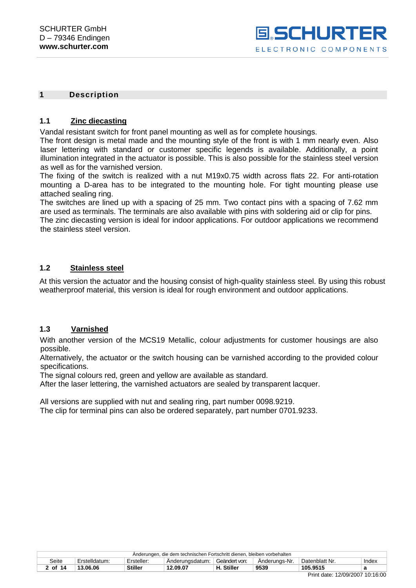

#### **1 Description**

## <span id="page-1-0"></span>**1.1 Zinc diecasting**

Vandal resistant switch for front panel mounting as well as for complete housings.

The front design is metal made and the mounting style of the front is with 1 mm nearly even. Also laser lettering with standard or customer specific legends is available. Additionally, a point illumination integrated in the actuator is possible. This is also possible for the stainless steel version as well as for the varnished version.

The fixing of the switch is realized with a nut M19x0.75 width across flats 22. For anti-rotation mounting a D-area has to be integrated to the mounting hole. For tight mounting please use attached sealing ring.

The switches are lined up with a spacing of 25 mm. Two contact pins with a spacing of 7.62 mm are used as terminals. The terminals are also available with pins with soldering aid or clip for pins. The zinc diecasting version is ideal for indoor applications. For outdoor applications we recommend the stainless steel version.

## <span id="page-1-1"></span>**1.2 Stainless steel**

At this version the actuator and the housing consist of high-quality stainless steel. By using this robust weatherproof material, this version is ideal for rough environment and outdoor applications.

## <span id="page-1-2"></span>**1.3 Varnished**

With another version of the MCS19 Metallic, colour adjustments for customer housings are also possible.

Alternatively, the actuator or the switch housing can be varnished according to the provided colour specifications.

The signal colours red, green and yellow are available as standard.

After the laser lettering, the varnished actuators are sealed by transparent lacquer.

All versions are supplied with nut and sealing ring, part number 0098.9219.

The clip for terminal pins can also be ordered separately, part number 0701.9233.

| Anderungen, die dem technischen Fortschritt dienen, bleiben vorbehalten |                                                                                                             |                |          |            |      |          |  |  |
|-------------------------------------------------------------------------|-------------------------------------------------------------------------------------------------------------|----------------|----------|------------|------|----------|--|--|
| Seite                                                                   | Geändert von:<br>Datenblatt Nr.<br>Anderunas-Nr.<br>Ersteller:<br>Anderungsdatum:<br>Index<br>Erstelldatum: |                |          |            |      |          |  |  |
| 2 of 14                                                                 | 13.06.06                                                                                                    | <b>Stiller</b> | 12.09.07 | H. Stiller | 9539 | 105.9515 |  |  |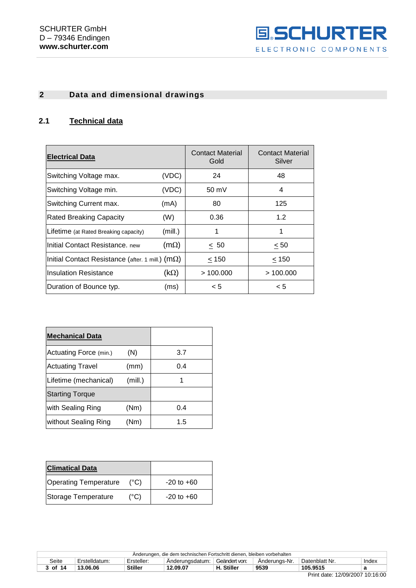

## **2 Data and dimensional drawings**

## <span id="page-2-0"></span>**2.1 Technical data**

| <b>Electrical Data</b>                                    |               | <b>Contact Material</b><br>Gold | <b>Contact Material</b><br>Silver |
|-----------------------------------------------------------|---------------|---------------------------------|-----------------------------------|
| Switching Voltage max.                                    | (VDC)         | 24                              | 48                                |
| Switching Voltage min.                                    | (VDC)         | $50 \text{ mV}$                 | 4                                 |
| Switching Current max.                                    | (mA)          | 80                              | 125                               |
| <b>Rated Breaking Capacity</b>                            | (W)           | 0.36                            | 1.2                               |
| Lifetime (at Rated Breaking capacity)                     | (mill.)       | 1                               |                                   |
| Initial Contact Resistance, new                           | $(m\Omega)$   | < 50                            | < 50                              |
| Initial Contact Resistance (after. 1 mill.) ( $m\Omega$ ) |               | < 150                           | < 150                             |
| Insulation Resistance                                     | (k $\Omega$ ) | >100.000                        | >100.000                          |
| Duration of Bounce typ.                                   | (ms)          | < 5                             | < 5                               |

| <b>Mechanical Data</b>  |         |     |
|-------------------------|---------|-----|
| Actuating Force (min.)  | (N)     | 3.7 |
| <b>Actuating Travel</b> | (mm)    | 0.4 |
| Lifetime (mechanical)   | (mill.) |     |
| <b>Starting Torque</b>  |         |     |
| with Sealing Ring       | (Nm)    | 0.4 |
| without Sealing Ring    | (Nm)    | 1.5 |

| <b>Climatical Data</b>       |               |                |
|------------------------------|---------------|----------------|
| <b>Operating Temperature</b> | (°C)          | $-20$ to $+60$ |
| Storage Temperature          | $(^{\circ}C)$ | $-20$ to $+60$ |

|         | Anderungen, die dem technischen Fortschritt dienen, bleiben vorbehalten                                     |                |          |         |      |          |  |  |  |
|---------|-------------------------------------------------------------------------------------------------------------|----------------|----------|---------|------|----------|--|--|--|
| Seite   | Geändert von:<br>Datenblatt Nr.<br>Erstelldatum.<br>Ersteller:<br>Anderungs-Nr.<br>Anderungsdatum:<br>Index |                |          |         |      |          |  |  |  |
| 3 of 14 | 13.06.06                                                                                                    | <b>Stiller</b> | 12.09.07 | Stiller | 9539 | 105.9515 |  |  |  |
|         | .<br>_ _ _                                                                                                  |                |          |         |      |          |  |  |  |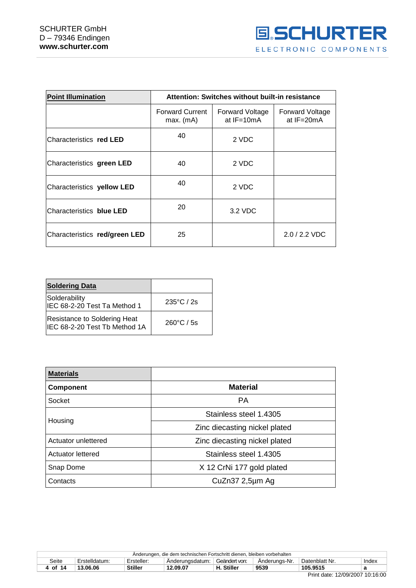

| <b>Point Illumination</b>     | Attention: Switches without built-in resistance |                                          |                                          |
|-------------------------------|-------------------------------------------------|------------------------------------------|------------------------------------------|
|                               | <b>Forward Current</b><br>$max.$ (mA)           | <b>Forward Voltage</b><br>at $IF = 10mA$ | <b>Forward Voltage</b><br>at $IF = 20mA$ |
| Characteristics red LED       | 40                                              | 2 VDC                                    |                                          |
| Characteristics green LED     | 40                                              | 2 VDC                                    |                                          |
| Characteristics yellow LED    | 40                                              | 2 VDC                                    |                                          |
| Characteristics blue LED      | 20                                              | 3.2 VDC                                  |                                          |
| Characteristics red/green LED | 25                                              |                                          | $2.0 / 2.2$ VDC                          |

| <b>Soldering Data</b>                                          |                      |
|----------------------------------------------------------------|----------------------|
| Solderability<br>IEC 68-2-20 Test Ta Method 1                  | $235^{\circ}$ C / 2s |
| Resistance to Soldering Heat<br>IIEC 68-2-20 Test Tb Method 1A | $260^{\circ}$ C / 5s |

| <b>Materials</b>    |                               |  |  |
|---------------------|-------------------------------|--|--|
| <b>Component</b>    | <b>Material</b>               |  |  |
| Socket              | <b>PA</b>                     |  |  |
| Housing             | Stainless steel 1.4305        |  |  |
|                     | Zinc diecasting nickel plated |  |  |
| Actuator unlettered | Zinc diecasting nickel plated |  |  |
| Actuator lettered   | Stainless steel 1.4305        |  |  |
| Snap Dome           | X 12 CrNi 177 gold plated     |  |  |
| Contacts            | CuZn37 2,5µm Ag               |  |  |

| Anderungen, die dem technischen Fortschritt dienen, bleiben vorbehalten |               |                |                 |               |               |                |       |  |  |
|-------------------------------------------------------------------------|---------------|----------------|-----------------|---------------|---------------|----------------|-------|--|--|
| Seite                                                                   | Erstelldatum: | Ersteller:     | Anderungsdatum: | Geändert von: | Anderungs-Nr. | Datenblatt Nr. | Index |  |  |
| 4 of 14                                                                 | 13.06.06      | <b>Stiller</b> | 12.09.07        | H. Stiller    | 9539          | 105.9515       |       |  |  |
|                                                                         |               |                |                 |               |               |                |       |  |  |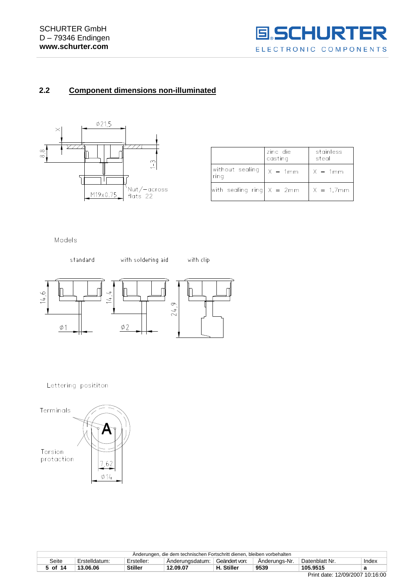

## <span id="page-4-0"></span>**2.2 Component dimensions non-illuminated**



|                             | zinc die<br>casting  | stainless<br>steal |
|-----------------------------|----------------------|--------------------|
| without sealing<br>ring     | $\frac{1}{x} = 1$ mm | $X = 1$ mm         |
| with sealing ring $X = 2mm$ |                      | $X = 1.7$ mm       |

Models



Lettering posititon



|                                                                                                             | L die dem technischen Fortschritt dienen. bleiben vorbehalten<br>Anderungen. |                |          |           |      |          |       |  |  |
|-------------------------------------------------------------------------------------------------------------|------------------------------------------------------------------------------|----------------|----------|-----------|------|----------|-------|--|--|
| Geändert von:<br>Seite<br>Ersteller:<br>Erstelldatum:<br>Anderungs-Nr.<br>Datenblatt Nr.<br>Anderungsdatum: |                                                                              |                |          |           |      |          | Index |  |  |
| of 14                                                                                                       | 13.06.06                                                                     | <b>Stiller</b> | 12.09.07 | . Stiller | 9539 | 105.9515 | а     |  |  |
|                                                                                                             | <b>D.</b> 40/00/0007 40.40.00                                                |                |          |           |      |          |       |  |  |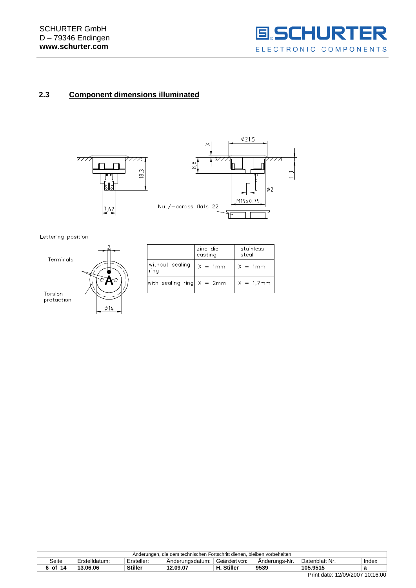

## <span id="page-5-0"></span>**2.3 Component dimensions illuminated**



Lettering position



|                             | zinc die<br>casting | stainless<br>steal |
|-----------------------------|---------------------|--------------------|
| without sealing<br>rina     | $X = 1mm$           | $X = 1$ mm         |
| with sealing ring $X = 2mm$ |                     | $X = 1.7$ mm       |

|         |               |                | Anderungen, die dem technischen Fortschritt dienen, bleiben vorbehalten |               |               |                |       |
|---------|---------------|----------------|-------------------------------------------------------------------------|---------------|---------------|----------------|-------|
| Seite   | Erstelldatum: | Ersteller:     | Anderungsdatum:                                                         | Geändert von: | Anderunas-Nr. | Datenblatt Nr. | Index |
| 6 of 14 | 13.06.06      | <b>Stiller</b> | 12.09.07                                                                | H. Stiller    | 9539          | 105.9515       |       |
|         |               |                |                                                                         |               |               | . <i>.</i>     |       |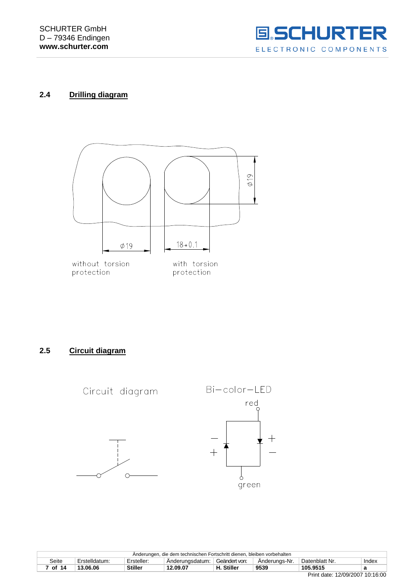

## <span id="page-6-0"></span>**2.4 Drilling diagram**



<span id="page-6-1"></span>**2.5 Circuit diagram**



| Anderungen, die dem technischen Fortschritt dienen, bleiben vorbehalten |               |            |                 |              |               |                |       |
|-------------------------------------------------------------------------|---------------|------------|-----------------|--------------|---------------|----------------|-------|
| Seite                                                                   | Erstelldatum: | Ersteller: | Anderungsdatum: | Geändert von | Anderungs-Nr. | Datenblatt Nr. | Index |
| of 14                                                                   | 13.06.06      | Stiller    | 12.09.07        | . Stiller    | 9539          | 105.9515       |       |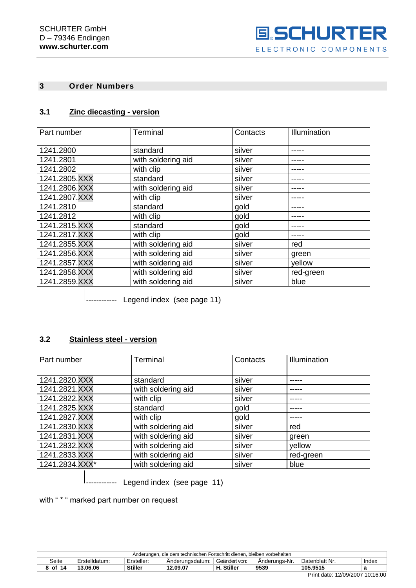

## **3 Order Numbers**

## <span id="page-7-0"></span>**3.1 Zinc diecasting - version**

| Part number   | Terminal           | Contacts | Illumination |
|---------------|--------------------|----------|--------------|
| 1241.2800     | standard           | silver   |              |
| 1241.2801     | with soldering aid | silver   |              |
| 1241.2802     | with clip          | silver   |              |
| 1241.2805.XXX | standard           | silver   |              |
| 1241.2806.XXX | with soldering aid | silver   |              |
| 1241.2807.XXX | with clip          | silver   |              |
| 1241.2810     | standard           | gold     |              |
| 1241.2812     | with clip          | gold     |              |
| 1241.2815.XXX | standard           | gold     |              |
| 1241.2817.XXX | with clip          | gold     |              |
| 1241.2855.XXX | with soldering aid | silver   | red          |
| 1241.2856.XXX | with soldering aid | silver   | green        |
| 1241.2857.XXX | with soldering aid | silver   | yellow       |
| 1241.2858.XXX | with soldering aid | silver   | red-green    |
| 1241.2859.XXX | with soldering aid | silver   | blue         |

 $\vert$ <sub>------------</sub> Legend index (see page 11)

## <span id="page-7-1"></span>**3.2 Stainless steel - version**

| Part number    | Terminal           | Contacts | Illumination |
|----------------|--------------------|----------|--------------|
| 1241.2820.XXX  | standard           | silver   |              |
| 1241.2821.XXX  | with soldering aid | silver   |              |
| 1241.2822.XXX  | with clip          | silver   |              |
| 1241.2825.XXX  | standard           | gold     |              |
| 1241.2827.XXX  | with clip          | gold     |              |
| 1241.2830.XXX  | with soldering aid | silver   | red          |
| 1241.2831.XXX  | with soldering aid | silver   | green        |
| 1241.2832.XXX  | with soldering aid | silver   | yellow       |
| 1241.2833.XXX  | with soldering aid | silver   | red-green    |
| 1241.2834.XXX* | with soldering aid | silver   | blue         |

|------------ Legend index (see page 11)

with " \* " marked part number on request

|         |               |                | Anderungen, die dem technischen Fortschritt dienen, bleiben vorbehalten |               |               |                |       |
|---------|---------------|----------------|-------------------------------------------------------------------------|---------------|---------------|----------------|-------|
| Seite   | Erstelldatum. | Ersteller:     | Anderungsdatum:                                                         | Geändert von: | Anderungs-Nr. | Datenblatt Nr. | Index |
| 8 of 14 | 13.06.06      | <b>Stiller</b> | 12.09.07                                                                | H. Stiller    | 9539          | 105.9515       |       |
|         |               |                |                                                                         |               |               | .<br>_ _ _     |       |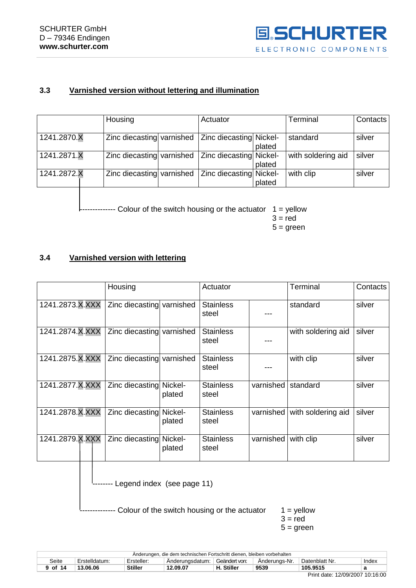

## <span id="page-8-0"></span>**3.3 Varnished version without lettering and illumination**

|             | Housing                   | Actuator                |        | Terminal           | <b>Contacts</b> |
|-------------|---------------------------|-------------------------|--------|--------------------|-----------------|
| 1241.2870.X | Zinc diecasting varnished | Zinc diecasting Nickel- | plated | standard           | silver          |
| 1241.2871.X | Zinc diecasting varnished | Zinc diecasting Nickel- | plated | with soldering aid | silver          |
| 1241.2872.X | Zinc diecasting varnished | Zinc diecasting Nickel- | plated | with clip          | silver          |

------------ Colour of the switch housing or the actuator 1 = yellow

 $3 = red$ 

 $5 = green$ 

## <span id="page-8-1"></span>**3.4 Varnished version with lettering**

|                 | Housing                   |                   | Actuator                  |           | Terminal           | Contacts |
|-----------------|---------------------------|-------------------|---------------------------|-----------|--------------------|----------|
| 1241.2873.X.XXX | Zinc diecasting varnished |                   | <b>Stainless</b><br>steel |           | standard           | silver   |
| 1241.2874.X.XXX | Zinc diecasting varnished |                   | <b>Stainless</b><br>steel |           | with soldering aid | silver   |
| 1241.2875.X.XXX | Zinc diecasting varnished |                   | <b>Stainless</b><br>steel |           | with clip          | silver   |
| 1241.2877.X.XXX | Zinc diecasting           | Nickel-<br>plated | <b>Stainless</b><br>steel | varnished | standard           | silver   |
| 1241.2878.X.XXX | Zinc diecasting Nickel-   | plated            | <b>Stainless</b><br>steel | varnished | with soldering aid | silver   |
| 1241.2879.X.XXX | Zinc diecasting           | Nickel-<br>plated | <b>Stainless</b><br>steel | varnished | with clip          | silver   |

-------- Legend index (see page 11)

 $------$  Colour of the switch housing or the actuator  $1 =$  yellow

 $3 = red$  $5 = green$ 

|         |               |                | Anderungen, die dem technischen Fortschritt dienen, bleiben vorbehalten |                |               |                |       |
|---------|---------------|----------------|-------------------------------------------------------------------------|----------------|---------------|----------------|-------|
| Seite   | Erstelldatum. | Ersteller:     | Anderungsdatum:                                                         | Geändert von:  | Anderungs-Nr. | Datenblatt Nr. | Index |
| 9 of 14 | 13.06.06      | <b>Stiller</b> | 12.09.07                                                                | <b>Stiller</b> | 9539          | 105.9515       |       |
|         |               |                |                                                                         |                |               | $ -$           |       |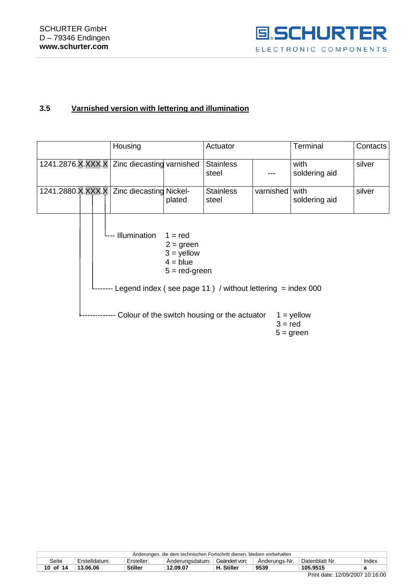

## <span id="page-9-0"></span>**3.5 Varnished version with lettering and illumination**

|                                             | Housing      |                                                                           | Actuator                                                     |           | Terminal                    | Contacts |
|---------------------------------------------|--------------|---------------------------------------------------------------------------|--------------------------------------------------------------|-----------|-----------------------------|----------|
| 1241.2876.X.XXX.X Zinc diecasting varnished |              |                                                                           | <b>Stainless</b><br>steel                                    |           | with<br>soldering aid       | silver   |
| 1241.2880.X.XXX.X   Zinc diecasting Nickel- |              | plated                                                                    | <b>Stainless</b><br>steel                                    | varnished | with<br>soldering aid       | silver   |
|                                             | Illumination | $1 = red$<br>$2 = green$<br>$3 =$ yellow<br>$4 = blue$<br>$5 = red-green$ |                                                              |           |                             |          |
|                                             |              |                                                                           | Legend index (see page 11) / without lettering $=$ index 000 |           |                             |          |
|                                             |              |                                                                           | Colour of the switch housing or the actuator                 | $3 = red$ | $1 =$ yellow<br>$5 = green$ |          |

|          |              |                | Anderungen, die dem technischen Fortschritt dienen, bleiben vorbehalten |               |               |                |       |
|----------|--------------|----------------|-------------------------------------------------------------------------|---------------|---------------|----------------|-------|
| Seite    | Erstelldatum | Ersteller:     | Anderungsdatum:                                                         | Geändert von: | Anderungs-Nr. | Datenblatt Nr. | Index |
| 10 of 14 | 13.06.06     | <b>Stiller</b> | 12.09.07                                                                | H. Stiller    | 9539          | 105.9515       |       |
|          |              |                |                                                                         |               |               |                |       |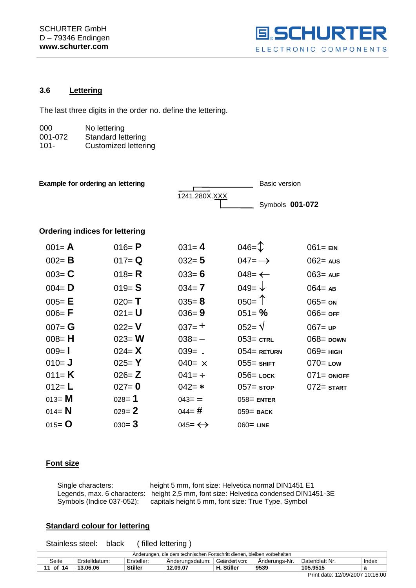

## <span id="page-10-0"></span>**3.6 Lettering**

The last three digits in the order no. define the lettering.

| 000     | No lettering                |
|---------|-----------------------------|
| 001-072 | <b>Standard lettering</b>   |
| $101 -$ | <b>Customized lettering</b> |

| <b>Example for ordering an lettering</b> |           |                         | <b>Basic version</b>     |                |
|------------------------------------------|-----------|-------------------------|--------------------------|----------------|
|                                          |           | 1241.280X.XXX           | Symbols 001-072          |                |
| <b>Ordering indices for lettering</b>    |           |                         |                          |                |
| $001 = A$                                | 016= $P$  | $031 = 4$               | $046 = \text{ }^{\circ}$ | $061 = EN$     |
| $002 = B$                                | $017 = Q$ | $032 = 5$               | $047 = \rightarrow$      | $062$ = Aus    |
| $003 = C$                                | 018 = $R$ | $033 = 6$               | $048 = \leftarrow$       | $063 = AUF$    |
| $004 = D$                                | $019 = S$ | $034 = 7$               | 049= $\sqrt{ }$          | $064 = AB$     |
| $005 = E$                                | $020 = T$ | $035 = 8$               | $050 = T$                | $065 =$ ON     |
| $006 = F$                                | $021 = U$ | $036 = 9$               | $051 = \%$               | $066 =$ OFF    |
| $007 = G$                                | $022 = V$ | $037=+$                 | $052 = \sqrt{ }$         | $067 = UP$     |
| $008 = H$                                | $023 = W$ | $038 = -$               | $053 =$ CTRL             | $068$ = DOWN   |
| $009 = 1$                                | $024 = X$ | $039 = .$               | $054$ = RETURN           | $069$ = нісн   |
| $010 = J$                                | $025 = Y$ | $040 = x$               | $055 =$ SHIFT            | $070 =$ Low    |
| 011= $K$                                 | $026 = Z$ | $041 = \div$            | $056$ = LOCK             | $071 = ON/OFF$ |
| 012= $L$                                 | $027 = 0$ | $042 = *$               | $057 =$ stop             | $072 =$ START  |
| 013= $M$                                 | $028 = 1$ | $043 =$                 | $058$ = ENTER            |                |
| 014= $N$                                 | $029 = 2$ | $044 = #$               | $059$ = BACK             |                |
| 015= $O$                                 | $030 = 3$ | $045 = \leftrightarrow$ | $060 =$ LINE             |                |

## **Font size**

Single characters: height 5 mm, font size: Helvetica normal DIN1451 E1 Legends, max. 6 characters: height 2,5 mm, font size: Helvetica condensed DIN1451-3E Symbols (Indice 037-052): capitals height 5 mm, font size: True Type, Symbol

#### **Standard colour for lettering**

Stainless steel: black ( filled lettering )

| Anderungen, die dem technischen Fortschritt dienen, bleiben vorbehalten                                     |          |                |          |            |      |          |  |  |
|-------------------------------------------------------------------------------------------------------------|----------|----------------|----------|------------|------|----------|--|--|
| Geändert von:<br>Erstelldatum:<br>Datenblatt Nr.<br>Ersteller:<br>Anderungs-Nr.<br>Seite<br>Anderungsdatum: |          |                |          |            |      | Index    |  |  |
| 11 of 14                                                                                                    | 13.06.06 | <b>Stiller</b> | 12.09.07 | H. Stiller | 9539 | 105.9515 |  |  |
|                                                                                                             |          |                |          |            |      |          |  |  |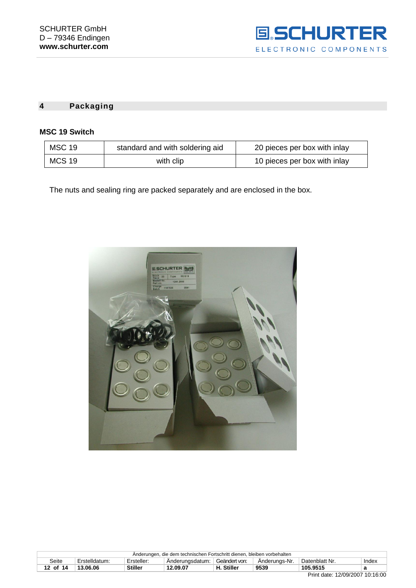

#### <span id="page-11-0"></span>**4 Packaging**

#### **MSC 19 Switch**

| <b>MSC 19</b> | standard and with soldering aid | 20 pieces per box with inlay |
|---------------|---------------------------------|------------------------------|
| MCS 19        | with clip                       | 10 pieces per box with inlay |

The nuts and sealing ring are packed separately and are enclosed in the box.



| Anderungen, die dem technischen Fortschritt dienen, bleiben vorbehalten |                                                                                                             |                |          |                 |      |          |  |  |
|-------------------------------------------------------------------------|-------------------------------------------------------------------------------------------------------------|----------------|----------|-----------------|------|----------|--|--|
| Seite                                                                   | Geändert von:<br>Erstelldatum.<br>Datenblatt Nr.<br>Anderungs-Nr.<br>Index<br>Ersteller:<br>Anderungsdatum: |                |          |                 |      |          |  |  |
| 12 of 14                                                                | 13.06.06                                                                                                    | <b>Stiller</b> | 12.09.07 | . Stiller<br>Н. | 9539 | 105.9515 |  |  |
| .<br>_ _ _ _                                                            |                                                                                                             |                |          |                 |      |          |  |  |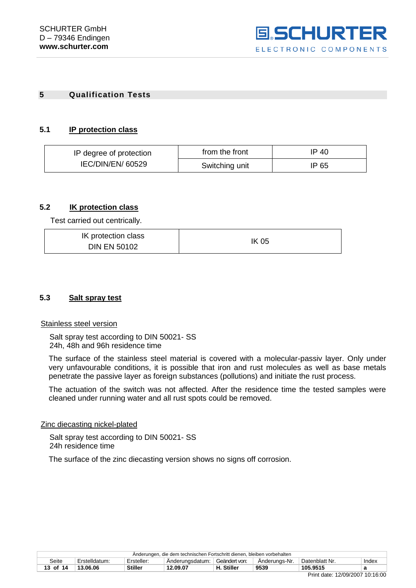

#### **5 Qualification Tests**

#### **5.1 IP protection class**

| IP degree of protection | from the front | IP 40 |  |
|-------------------------|----------------|-------|--|
| IEC/DIN/EN/ 60529       | Switching unit | IP 65 |  |

## <span id="page-12-0"></span>**5.2 IK protection class**

Test carried out centrically.

| IK protection class | <b>IK 05</b> |
|---------------------|--------------|
| <b>DIN EN 50102</b> |              |

#### <span id="page-12-1"></span>**5.3 Salt spray test**

#### Stainless steel version

Salt spray test according to DIN 50021- SS 24h, 48h and 96h residence time

The surface of the stainless steel material is covered with a molecular-passiv layer. Only under very unfavourable conditions, it is possible that iron and rust molecules as well as base metals penetrate the passive layer as foreign substances (pollutions) and initiate the rust process.

The actuation of the switch was not affected. After the residence time the tested samples were cleaned under running water and all rust spots could be removed.

#### Zinc diecasting nickel-plated

Salt spray test according to DIN 50021- SS 24h residence time

The surface of the zinc diecasting version shows no signs off corrosion.

| Anderungen, die dem technischen Fortschritt dienen, bleiben vorbehalten                                              |          |                |          |            |      |          |  |  |
|----------------------------------------------------------------------------------------------------------------------|----------|----------------|----------|------------|------|----------|--|--|
| Erstelldatum:<br>Geändert von:<br>Datenblatt Nr.<br>Seite<br>Anderungs-Nr.<br>Ersteller:<br>Index<br>Anderungsdatum: |          |                |          |            |      |          |  |  |
| 13 of 14                                                                                                             | 13.06.06 | <b>Stiller</b> | 12.09.07 | H. Stiller | 9539 | 105.9515 |  |  |